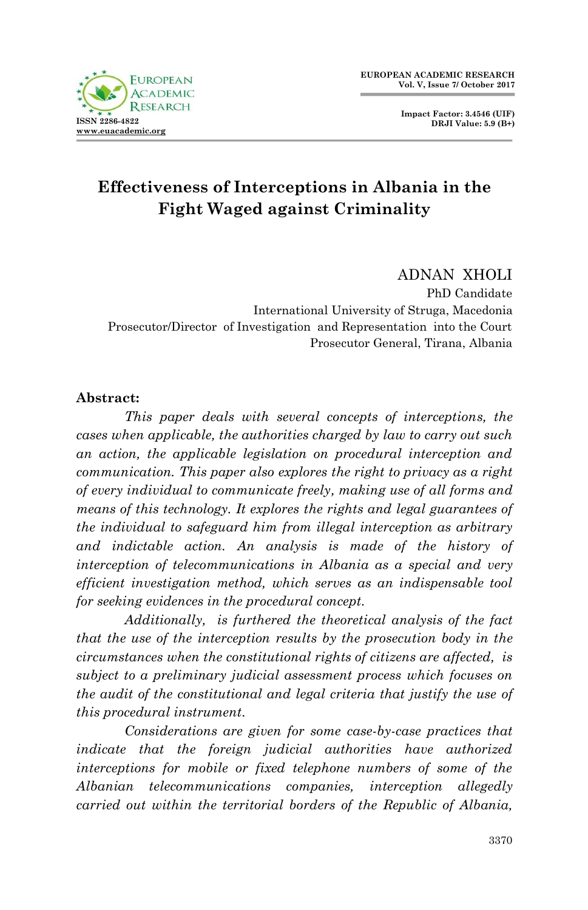

**Impact Factor: 3.4546 (UIF) DRJI Value: 5.9 (B+)**

# **Effectiveness of Interceptions in Albania in the Fight Waged against Criminality**

ADNAN XHOLI

PhD Candidate International University of Struga, Macedonia Prosecutor/Director of Investigation and Representation into the Court Prosecutor General, Tirana, Albania

#### **Abstract:**

*This paper deals with several concepts of interceptions, the cases when applicable, the authorities charged by law to carry out such an action, the applicable legislation on procedural interception and communication. This paper also explores the right to privacy as a right of every individual to communicate freely, making use of all forms and means of this technology. It explores the rights and legal guarantees of the individual to safeguard him from illegal interception as arbitrary and indictable action. An analysis is made of the history of interception of telecommunications in Albania as a special and very efficient investigation method, which serves as an indispensable tool for seeking evidences in the procedural concept.*

*Additionally, is furthered the theoretical analysis of the fact that the use of the interception results by the prosecution body in the circumstances when the constitutional rights of citizens are affected, is subject to a preliminary judicial assessment process which focuses on the audit of the constitutional and legal criteria that justify the use of this procedural instrument.*

*Considerations are given for some case-by-case practices that indicate that the foreign judicial authorities have authorized interceptions for mobile or fixed telephone numbers of some of the Albanian telecommunications companies, interception allegedly carried out within the territorial borders of the Republic of Albania,*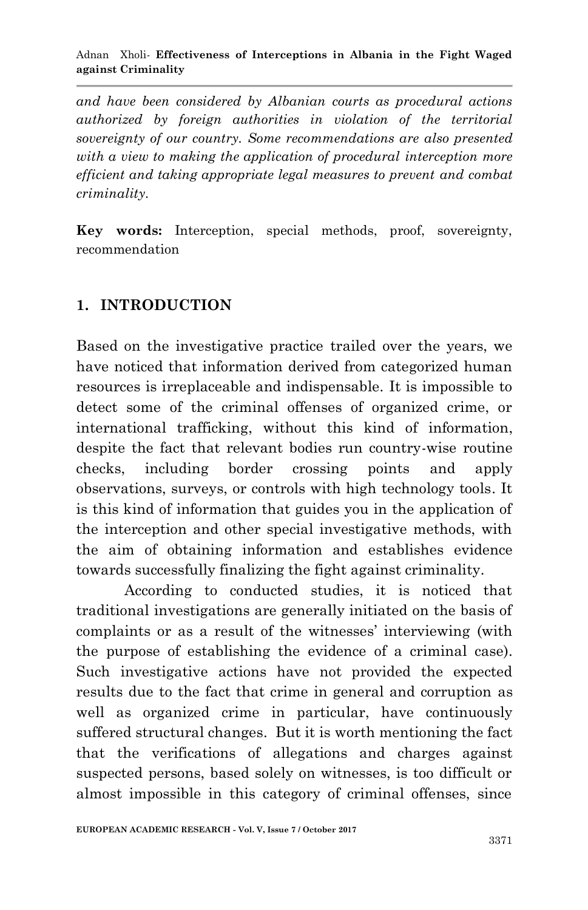*and have been considered by Albanian courts as procedural actions authorized by foreign authorities in violation of the territorial sovereignty of our country. Some recommendations are also presented with a view to making the application of procedural interception more efficient and taking appropriate legal measures to prevent and combat criminality.*

**Key words:** Interception, special methods, proof, sovereignty, recommendation

### **1. INTRODUCTION**

Based on the investigative practice trailed over the years, we have noticed that information derived from categorized human resources is irreplaceable and indispensable. It is impossible to detect some of the criminal offenses of organized crime, or international trafficking, without this kind of information, despite the fact that relevant bodies run country-wise routine checks, including border crossing points and apply observations, surveys, or controls with high technology tools. It is this kind of information that guides you in the application of the interception and other special investigative methods, with the aim of obtaining information and establishes evidence towards successfully finalizing the fight against criminality.

According to conducted studies, it is noticed that traditional investigations are generally initiated on the basis of complaints or as a result of the witnesses' interviewing (with the purpose of establishing the evidence of a criminal case). Such investigative actions have not provided the expected results due to the fact that crime in general and corruption as well as organized crime in particular, have continuously suffered structural changes. But it is worth mentioning the fact that the verifications of allegations and charges against suspected persons, based solely on witnesses, is too difficult or almost impossible in this category of criminal offenses, since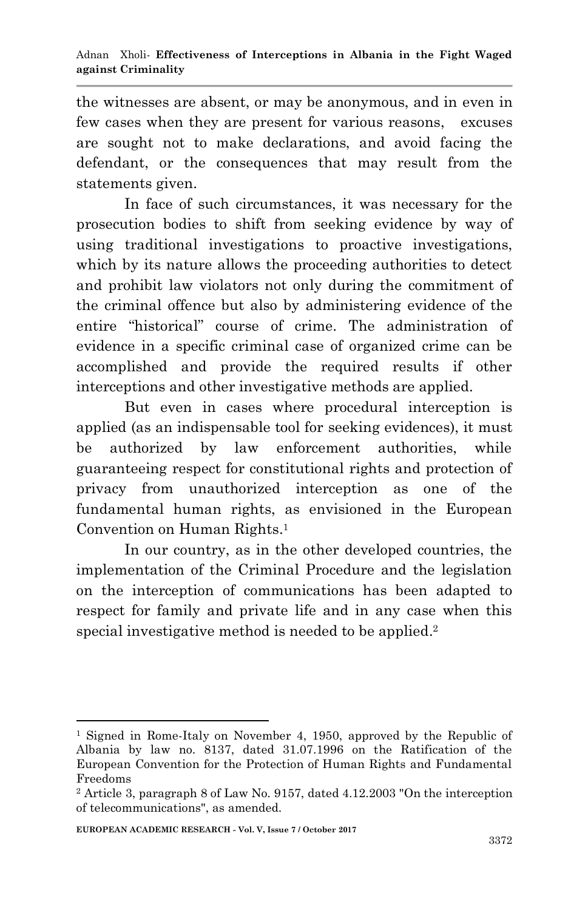the witnesses are absent, or may be anonymous, and in even in few cases when they are present for various reasons, excuses are sought not to make declarations, and avoid facing the defendant, or the consequences that may result from the statements given.

In face of such circumstances, it was necessary for the prosecution bodies to shift from seeking evidence by way of using traditional investigations to proactive investigations, which by its nature allows the proceeding authorities to detect and prohibit law violators not only during the commitment of the criminal offence but also by administering evidence of the entire "historical" course of crime. The administration of evidence in a specific criminal case of organized crime can be accomplished and provide the required results if other interceptions and other investigative methods are applied.

But even in cases where procedural interception is applied (as an indispensable tool for seeking evidences), it must be authorized by law enforcement authorities, while guaranteeing respect for constitutional rights and protection of privacy from unauthorized interception as one of the fundamental human rights, as envisioned in the European Convention on Human Rights. 1

In our country, as in the other developed countries, the implementation of the Criminal Procedure and the legislation on the interception of communications has been adapted to respect for family and private life and in any case when this special investigative method is needed to be applied. 2

<sup>&</sup>lt;sup>1</sup> Signed in Rome-Italy on November 4, 1950, approved by the Republic of Albania by law no. 8137, dated 31.07.1996 on the Ratification of the European Convention for the Protection of Human Rights and Fundamental Freedoms

<sup>2</sup> Article 3, paragraph 8 of Law No. 9157, dated 4.12.2003 "On the interception of telecommunications", as amended.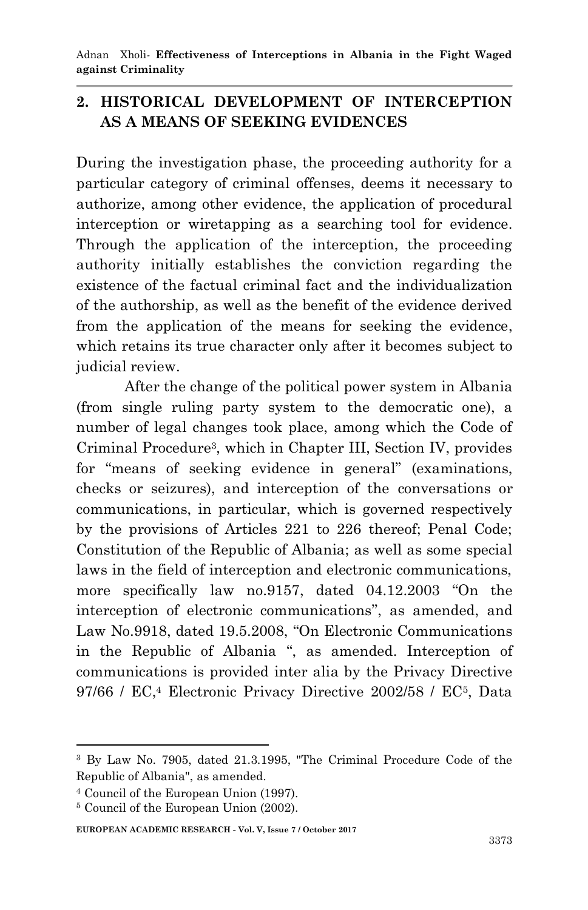# **2. HISTORICAL DEVELOPMENT OF INTERCEPTION AS A MEANS OF SEEKING EVIDENCES**

During the investigation phase, the proceeding authority for a particular category of criminal offenses, deems it necessary to authorize, among other evidence, the application of procedural interception or wiretapping as a searching tool for evidence. Through the application of the interception, the proceeding authority initially establishes the conviction regarding the existence of the factual criminal fact and the individualization of the authorship, as well as the benefit of the evidence derived from the application of the means for seeking the evidence, which retains its true character only after it becomes subject to judicial review.

After the change of the political power system in Albania (from single ruling party system to the democratic one), a number of legal changes took place, among which the Code of Criminal Procedure<sup>3</sup> , which in Chapter III, Section IV, provides for "means of seeking evidence in general" (examinations, checks or seizures), and interception of the conversations or communications, in particular, which is governed respectively by the provisions of Articles 221 to 226 thereof; Penal Code; Constitution of the Republic of Albania; as well as some special laws in the field of interception and electronic communications, more specifically law no.9157, dated 04.12.2003 "On the interception of electronic communications", as amended, and Law No.9918, dated 19.5.2008, "On Electronic Communications in the Republic of Albania ", as amended. Interception of communications is provided inter alia by the Privacy Directive 97/66 / EC, <sup>4</sup> Electronic Privacy Directive 2002/58 / EC<sup>5</sup> , Data

**EUROPEAN ACADEMIC RESEARCH - Vol. V, Issue 7 / October 2017**

<sup>1</sup> <sup>3</sup> By Law No. 7905, dated 21.3.1995, "The Criminal Procedure Code of the Republic of Albania", as amended.

<sup>4</sup> Council of the European Union (1997).

<sup>5</sup> Council of the European Union (2002).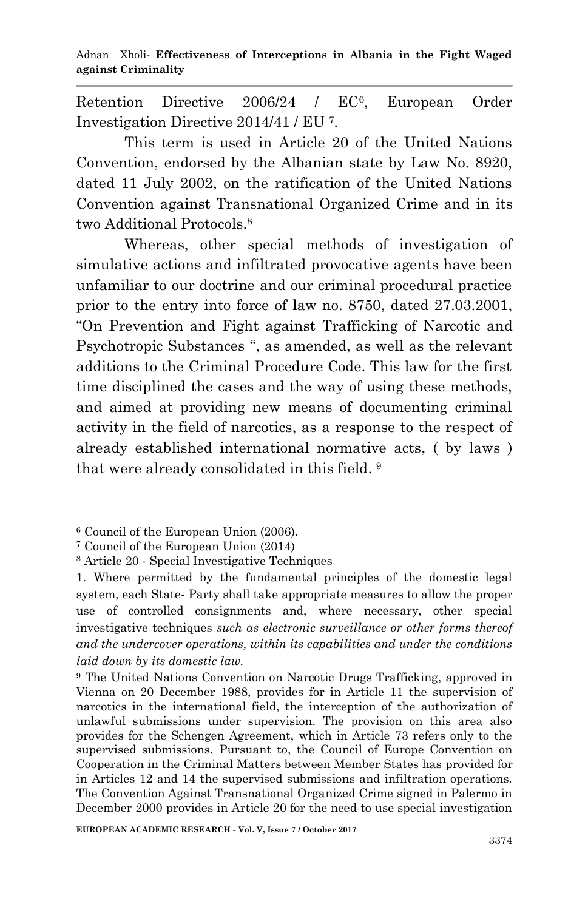Retention Directive 2006/24 / EC<sup>6</sup>. , European Order Investigation Directive 2014/41 / EU <sup>7</sup> .

This term is used in Article 20 of the United Nations Convention, endorsed by the Albanian state by Law No. 8920, dated 11 July 2002, on the ratification of the United Nations Convention against Transnational Organized Crime and in its two Additional Protocols. 8

Whereas, other special methods of investigation of simulative actions and infiltrated provocative agents have been unfamiliar to our doctrine and our criminal procedural practice prior to the entry into force of law no. 8750, dated 27.03.2001, "On Prevention and Fight against Trafficking of Narcotic and Psychotropic Substances ", as amended, as well as the relevant additions to the Criminal Procedure Code. This law for the first time disciplined the cases and the way of using these methods, and aimed at providing new means of documenting criminal activity in the field of narcotics, as a response to the respect of already established international normative acts, ( by laws ) that were already consolidated in this field.<sup>9</sup>

<sup>1</sup> <sup>6</sup> Council of the European Union (2006).

<sup>7</sup> Council of the European Union (2014)

<sup>8</sup> Article 20 - Special Investigative Techniques

<sup>1.</sup> Where permitted by the fundamental principles of the domestic legal system, each State- Party shall take appropriate measures to allow the proper use of controlled consignments and, where necessary, other special investigative techniques *such as electronic surveillance or other forms thereof and the undercover operations, within its capabilities and under the conditions laid down by its domestic law.*

<sup>9</sup> The United Nations Convention on Narcotic Drugs Trafficking, approved in Vienna on 20 December 1988, provides for in Article 11 the supervision of narcotics in the international field, the interception of the authorization of unlawful submissions under supervision. The provision on this area also provides for the Schengen Agreement, which in Article 73 refers only to the supervised submissions. Pursuant to, the Council of Europe Convention on Cooperation in the Criminal Matters between Member States has provided for in Articles 12 and 14 the supervised submissions and infiltration operations. The Convention Against Transnational Organized Crime signed in Palermo in December 2000 provides in Article 20 for the need to use special investigation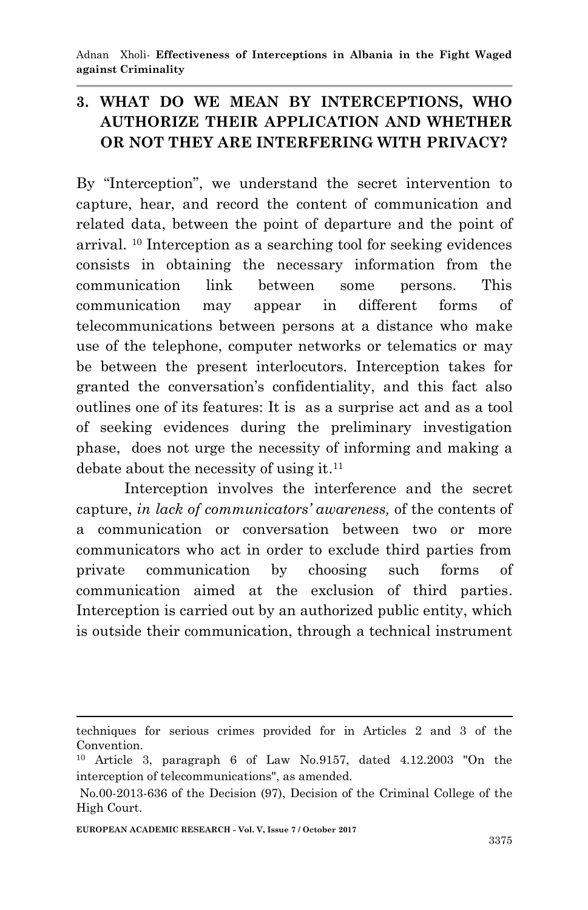# **3. WHAT DO WE MEAN BY INTERCEPTIONS, WHO AUTHORIZE THEIR APPLICATION AND WHETHER OR NOT THEY ARE INTERFERING WITH PRIVACY?**

By "Interception", we understand the secret intervention to capture, hear, and record the content of communication and related data, between the point of departure and the point of arrival. <sup>10</sup> Interception as a searching tool for seeking evidences consists in obtaining the necessary information from the communication link between some persons. This communication may appear in different forms of telecommunications between persons at a distance who make use of the telephone, computer networks or telematics or may be between the present interlocutors. Interception takes for granted the conversation's confidentiality, and this fact also outlines one of its features: It is as a surprise act and as a tool of seeking evidences during the preliminary investigation phase, does not urge the necessity of informing and making a debate about the necessity of using it. 11

Interception involves the interference and the secret capture, *in lack of communicators' awareness,* of the contents of a communication or conversation between two or more communicators who act in order to exclude third parties from private communication by choosing such forms of communication aimed at the exclusion of third parties. Interception is carried out by an authorized public entity, which is outside their communication, through a technical instrument

techniques for serious crimes provided for in Articles 2 and 3 of the Convention.

<sup>10</sup> Article 3, paragraph 6 of Law No.9157, dated 4.12.2003 "On the interception of telecommunications", as amended.

No.00-2013-636 of the Decision (97), Decision of the Criminal College of the High Court.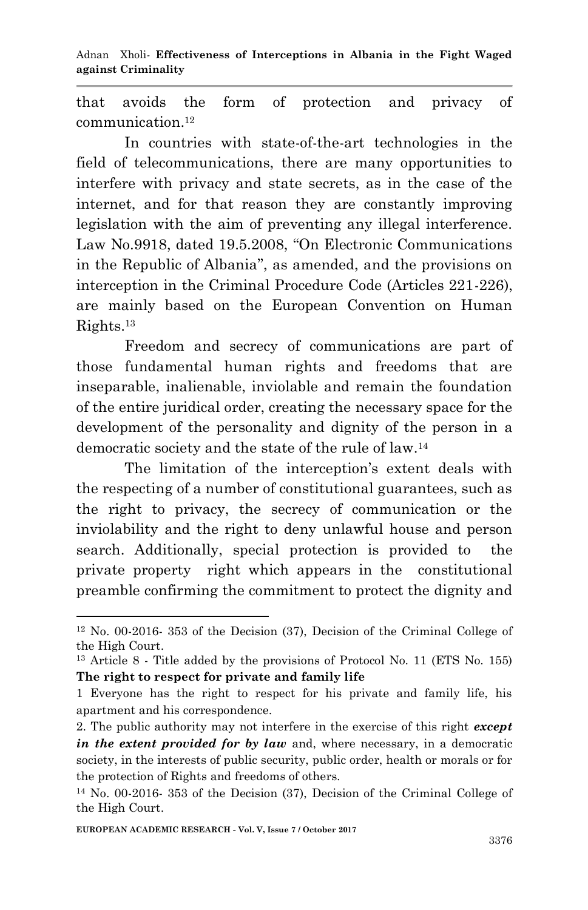Adnan Xholi*-* **Effectiveness of Interceptions in Albania in the Fight Waged against Criminality**

that avoids the form of protection and privacy of communication. 12

In countries with state-of-the-art technologies in the field of telecommunications, there are many opportunities to interfere with privacy and state secrets, as in the case of the internet, and for that reason they are constantly improving legislation with the aim of preventing any illegal interference. Law No.9918, dated 19.5.2008, "On Electronic Communications in the Republic of Albania", as amended, and the provisions on interception in the Criminal Procedure Code (Articles 221-226), are mainly based on the European Convention on Human Rights. 13

Freedom and secrecy of communications are part of those fundamental human rights and freedoms that are inseparable, inalienable, inviolable and remain the foundation of the entire juridical order, creating the necessary space for the development of the personality and dignity of the person in a democratic society and the state of the rule of law. 14

The limitation of the interception's extent deals with the respecting of a number of constitutional guarantees, such as the right to privacy, the secrecy of communication or the inviolability and the right to deny unlawful house and person search. Additionally, special protection is provided to the private property right which appears in the constitutional preamble confirming the commitment to protect the dignity and

<sup>12</sup> No. 00-2016- 353 of the Decision (37), Decision of the Criminal College of the High Court.

<sup>13</sup> Article 8 - Title added by the provisions of Protocol No. 11 (ETS No. 155) **The right to respect for private and family life**

<sup>1</sup> Everyone has the right to respect for his private and family life, his apartment and his correspondence.

<sup>2.</sup> The public authority may not interfere in the exercise of this right *except in the extent provided for by law* and, where necessary, in a democratic society, in the interests of public security, public order, health or morals or for the protection of Rights and freedoms of others.

<sup>14</sup> No. 00-2016- 353 of the Decision (37), Decision of the Criminal College of the High Court.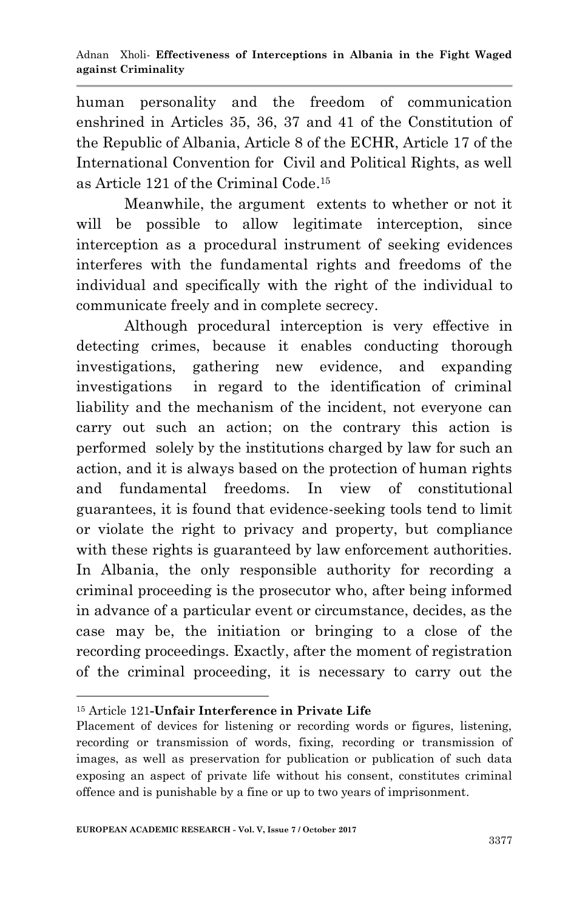human personality and the freedom of communication enshrined in Articles 35, 36, 37 and 41 of the Constitution of the Republic of Albania, Article 8 of the ECHR, Article 17 of the International Convention for Civil and Political Rights, as well as Article 121 of the Criminal Code. 15

Meanwhile, the argument extents to whether or not it will be possible to allow legitimate interception, since interception as a procedural instrument of seeking evidences interferes with the fundamental rights and freedoms of the individual and specifically with the right of the individual to communicate freely and in complete secrecy.

Although procedural interception is very effective in detecting crimes, because it enables conducting thorough investigations, gathering new evidence, and expanding investigations in regard to the identification of criminal liability and the mechanism of the incident, not everyone can carry out such an action; on the contrary this action is performed solely by the institutions charged by law for such an action, and it is always based on the protection of human rights and fundamental freedoms. In view of constitutional guarantees, it is found that evidence-seeking tools tend to limit or violate the right to privacy and property, but compliance with these rights is guaranteed by law enforcement authorities. In Albania, the only responsible authority for recording a criminal proceeding is the prosecutor who, after being informed in advance of a particular event or circumstance, decides, as the case may be, the initiation or bringing to a close of the recording proceedings. Exactly, after the moment of registration of the criminal proceeding, it is necessary to carry out the

<sup>1</sup> <sup>15</sup> Article 121**-Unfair Interference in Private Life**

Placement of devices for listening or recording words or figures, listening, recording or transmission of words, fixing, recording or transmission of images, as well as preservation for publication or publication of such data exposing an aspect of private life without his consent, constitutes criminal offence and is punishable by a fine or up to two years of imprisonment.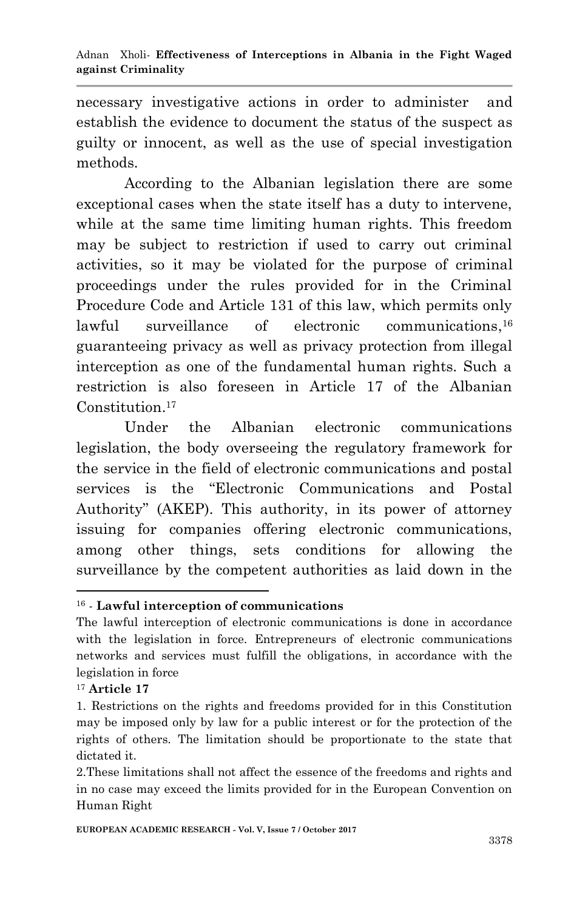necessary investigative actions in order to administer and establish the evidence to document the status of the suspect as guilty or innocent, as well as the use of special investigation methods.

According to the Albanian legislation there are some exceptional cases when the state itself has a duty to intervene, while at the same time limiting human rights. This freedom may be subject to restriction if used to carry out criminal activities, so it may be violated for the purpose of criminal proceedings under the rules provided for in the Criminal Procedure Code and Article 131 of this law, which permits only lawful surveillance of electronic communications,<sup>16</sup> guaranteeing privacy as well as privacy protection from illegal interception as one of the fundamental human rights. Such a restriction is also foreseen in Article 17 of the Albanian Constitution. 17

Under the Albanian electronic communications legislation, the body overseeing the regulatory framework for the service in the field of electronic communications and postal services is the "Electronic Communications and Postal Authority" (AKEP). This authority, in its power of attorney issuing for companies offering electronic communications, among other things, sets conditions for allowing the surveillance by the competent authorities as laid down in the

<sup>17</sup> **Article 17**

<sup>16</sup> - **Lawful interception of communications**

The lawful interception of electronic communications is done in accordance with the legislation in force. Entrepreneurs of electronic communications networks and services must fulfill the obligations, in accordance with the legislation in force

<sup>1.</sup> Restrictions on the rights and freedoms provided for in this Constitution may be imposed only by law for a public interest or for the protection of the rights of others. The limitation should be proportionate to the state that dictated it.

<sup>2.</sup>These limitations shall not affect the essence of the freedoms and rights and in no case may exceed the limits provided for in the European Convention on Human Right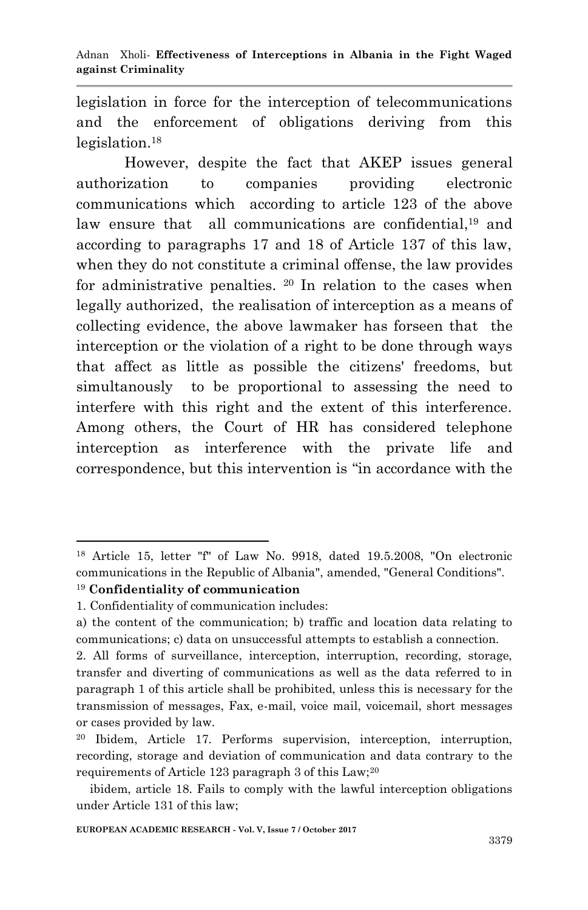legislation in force for the interception of telecommunications and the enforcement of obligations deriving from this legislation.<sup>18</sup>

However, despite the fact that AKEP issues general authorization to companies providing electronic communications which according to article 123 of the above law ensure that all communications are confidential,<sup>19</sup> and according to paragraphs 17 and 18 of Article 137 of this law, when they do not constitute a criminal offense, the law provides for administrative penalties. <sup>20</sup> In relation to the cases when legally authorized, the realisation of interception as a means of collecting evidence, the above lawmaker has forseen that the interception or the violation of a right to be done through ways that affect as little as possible the citizens' freedoms, but simultanously to be proportional to assessing the need to interfere with this right and the extent of this interference. Among others, the Court of HR has considered telephone interception as interference with the private life and correspondence, but this intervention is "in accordance with the

<sup>18</sup> Article 15, letter "f" of Law No. 9918, dated 19.5.2008, "On electronic communications in the Republic of Albania", amended, "General Conditions".

<sup>19</sup> **Confidentiality of communication**

<sup>1.</sup> Confidentiality of communication includes:

a) the content of the communication; b) traffic and location data relating to communications; c) data on unsuccessful attempts to establish a connection.

<sup>2.</sup> All forms of surveillance, interception, interruption, recording, storage, transfer and diverting of communications as well as the data referred to in paragraph 1 of this article shall be prohibited, unless this is necessary for the transmission of messages, Fax, e-mail, voice mail, voicemail, short messages or cases provided by law.

<sup>20</sup> Ibidem, Article 17. Performs supervision, interception, interruption, recording, storage and deviation of communication and data contrary to the requirements of Article 123 paragraph 3 of this  $Law;^{20}$ 

ibidem, article 18. Fails to comply with the lawful interception obligations under Article 131 of this law;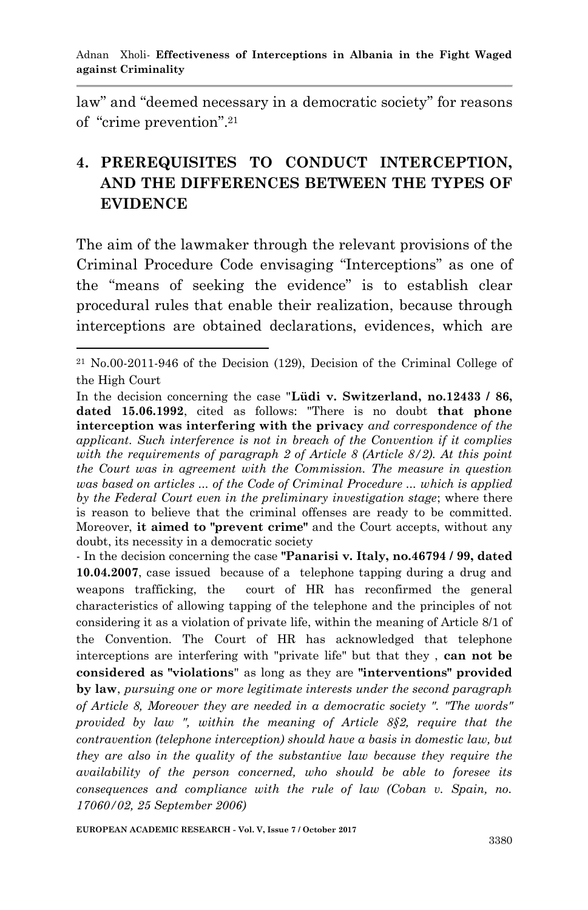law" and "deemed necessary in a democratic society" for reasons of "crime prevention". 21

# **4. PREREQUISITES TO CONDUCT INTERCEPTION, AND THE DIFFERENCES BETWEEN THE TYPES OF EVIDENCE**

The aim of the lawmaker through the relevant provisions of the Criminal Procedure Code envisaging "Interceptions" as one of the "means of seeking the evidence" is to establish clear procedural rules that enable their realization, because through interceptions are obtained declarations, evidences, which are

- In the decision concerning the case **"Panarisi v. Italy, no.46794 / 99, dated 10.04.2007**, case issued because of a telephone tapping during a drug and weapons trafficking, the court of HR has reconfirmed the general characteristics of allowing tapping of the telephone and the principles of not considering it as a violation of private life, within the meaning of Article 8/1 of the Convention. The Court of HR has acknowledged that telephone interceptions are interfering with "private life" but that they , **can not be considered as "violations**" as long as they are **"interventions" provided by law**, *pursuing one or more legitimate interests under the second paragraph of Article 8, Moreover they are needed in a democratic society ". "The words" provided by law ", within the meaning of Article 8§2, require that the contravention (telephone interception) should have a basis in domestic law, but they are also in the quality of the substantive law because they require the availability of the person concerned, who should be able to foresee its consequences and compliance with the rule of law (Coban v. Spain, no. 17060/02, 25 September 2006)*

<sup>-</sup><sup>21</sup> No.00-2011-946 of the Decision (129), Decision of the Criminal College of the High Court

In the decision concerning the case "**Lüdi v. Switzerland, no.12433 / 86, dated 15.06.1992**, cited as follows: "There is no doubt **that phone interception was interfering with the privacy** *and correspondence of the applicant. Such interference is not in breach of the Convention if it complies with the requirements of paragraph 2 of Article 8 (Article 8/2). At this point the Court was in agreement with the Commission. The measure in question was based on articles ... of the Code of Criminal Procedure ... which is applied by the Federal Court even in the preliminary investigation stage*; where there is reason to believe that the criminal offenses are ready to be committed. Moreover, **it aimed to "prevent crime"** and the Court accepts, without any doubt, its necessity in a democratic society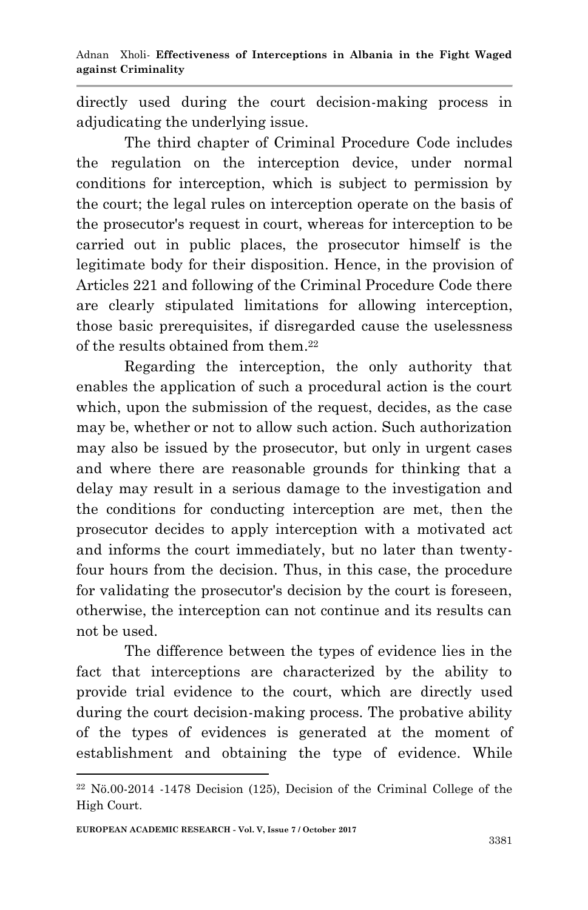directly used during the court decision-making process in adjudicating the underlying issue.

The third chapter of Criminal Procedure Code includes the regulation on the interception device, under normal conditions for interception, which is subject to permission by the court; the legal rules on interception operate on the basis of the prosecutor's request in court, whereas for interception to be carried out in public places, the prosecutor himself is the legitimate body for their disposition. Hence, in the provision of Articles 221 and following of the Criminal Procedure Code there are clearly stipulated limitations for allowing interception, those basic prerequisites, if disregarded cause the uselessness of the results obtained from them. 22

Regarding the interception, the only authority that enables the application of such a procedural action is the court which, upon the submission of the request, decides, as the case may be, whether or not to allow such action. Such authorization may also be issued by the prosecutor, but only in urgent cases and where there are reasonable grounds for thinking that a delay may result in a serious damage to the investigation and the conditions for conducting interception are met, then the prosecutor decides to apply interception with a motivated act and informs the court immediately, but no later than twentyfour hours from the decision. Thus, in this case, the procedure for validating the prosecutor's decision by the court is foreseen, otherwise, the interception can not continue and its results can not be used.

The difference between the types of evidence lies in the fact that interceptions are characterized by the ability to provide trial evidence to the court, which are directly used during the court decision-making process. The probative ability of the types of evidences is generated at the moment of establishment and obtaining the type of evidence. While

 $22$  Nö.00-2014 -1478 Decision (125), Decision of the Criminal College of the High Court.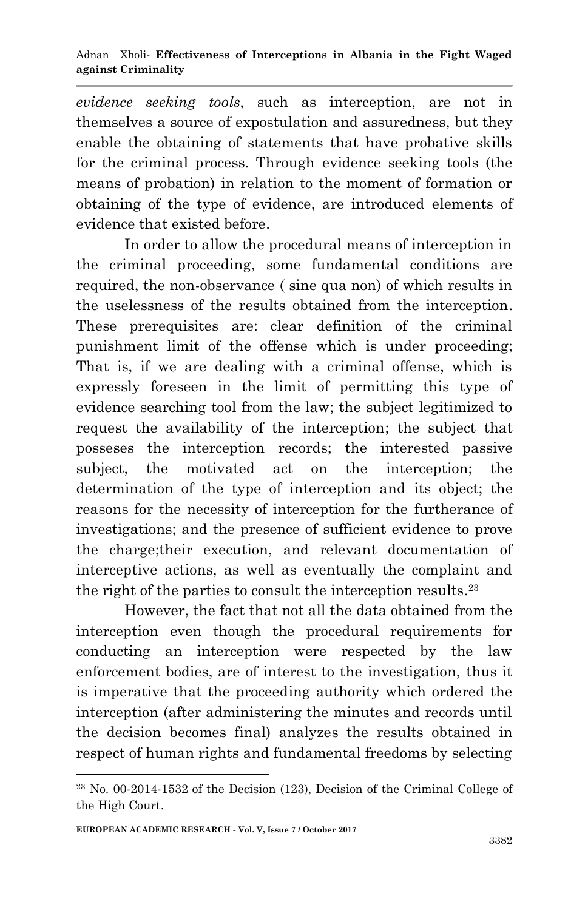*evidence seeking tools*, such as interception, are not in themselves a source of expostulation and assuredness, but they enable the obtaining of statements that have probative skills for the criminal process. Through evidence seeking tools (the means of probation) in relation to the moment of formation or obtaining of the type of evidence, are introduced elements of evidence that existed before.

In order to allow the procedural means of interception in the criminal proceeding, some fundamental conditions are required, the non-observance ( sine qua non) of which results in the uselessness of the results obtained from the interception. These prerequisites are: clear definition of the criminal punishment limit of the offense which is under proceeding; That is, if we are dealing with a criminal offense, which is expressly foreseen in the limit of permitting this type of evidence searching tool from the law; the subject legitimized to request the availability of the interception; the subject that posseses the interception records; the interested passive subject, the motivated act on the interception; the determination of the type of interception and its object; the reasons for the necessity of interception for the furtherance of investigations; and the presence of sufficient evidence to prove the charge;their execution, and relevant documentation of interceptive actions, as well as eventually the complaint and the right of the parties to consult the interception results. 23

However, the fact that not all the data obtained from the interception even though the procedural requirements for conducting an interception were respected by the law enforcement bodies, are of interest to the investigation, thus it is imperative that the proceeding authority which ordered the interception (after administering the minutes and records until the decision becomes final) analyzes the results obtained in respect of human rights and fundamental freedoms by selecting

 $23$  No. 00-2014-1532 of the Decision (123), Decision of the Criminal College of the High Court.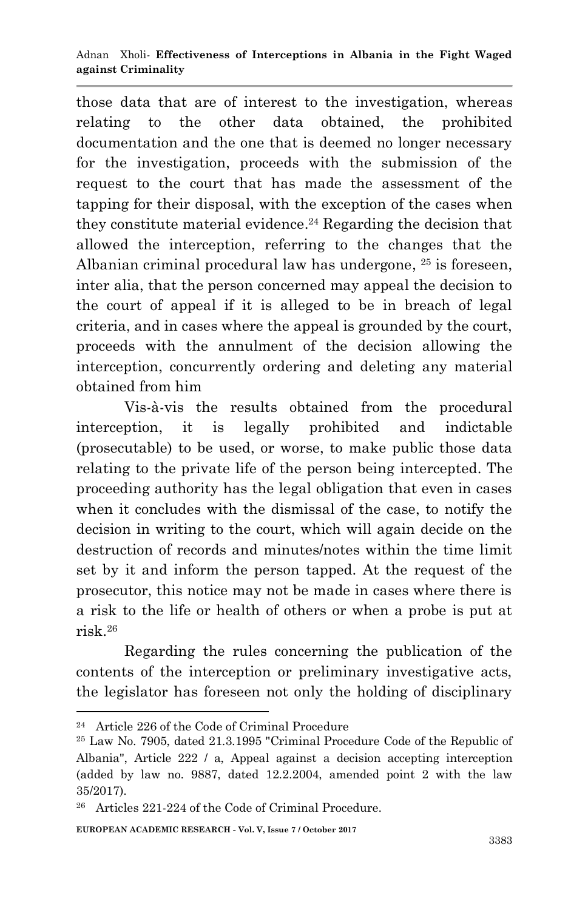those data that are of interest to the investigation, whereas relating to the other data obtained, the prohibited documentation and the one that is deemed no longer necessary for the investigation, proceeds with the submission of the request to the court that has made the assessment of the tapping for their disposal, with the exception of the cases when they constitute material evidence. <sup>24</sup> Regarding the decision that allowed the interception, referring to the changes that the Albanian criminal procedural law has undergone, <sup>25</sup> is foreseen, inter alia, that the person concerned may appeal the decision to the court of appeal if it is alleged to be in breach of legal criteria, and in cases where the appeal is grounded by the court, proceeds with the annulment of the decision allowing the interception, concurrently ordering and deleting any material obtained from him

Vis-à-vis the results obtained from the procedural interception, it is legally prohibited and indictable (prosecutable) to be used, or worse, to make public those data relating to the private life of the person being intercepted. The proceeding authority has the legal obligation that even in cases when it concludes with the dismissal of the case, to notify the decision in writing to the court, which will again decide on the destruction of records and minutes/notes within the time limit set by it and inform the person tapped. At the request of the prosecutor, this notice may not be made in cases where there is a risk to the life or health of others or when a probe is put at risk. 26

Regarding the rules concerning the publication of the contents of the interception or preliminary investigative acts, the legislator has foreseen not only the holding of disciplinary

<sup>24</sup> Article 226 of the Code of Criminal Procedure

<sup>25</sup> Law No. 7905, dated 21.3.1995 "Criminal Procedure Code of the Republic of Albania", Article 222 / a, Appeal against a decision accepting interception (added by law no. 9887, dated 12.2.2004, amended point 2 with the law 35/2017).

<sup>26</sup> Articles 221-224 of the Code of Criminal Procedure.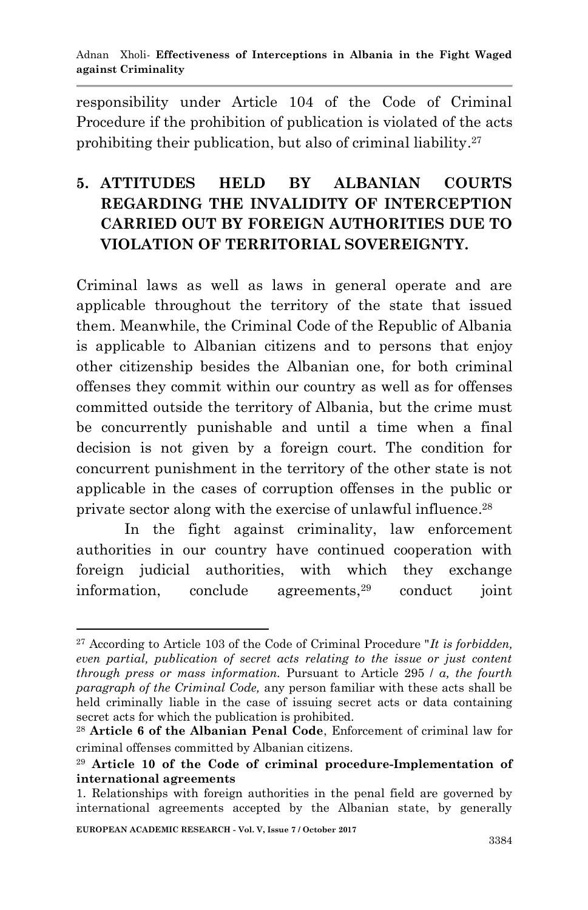responsibility under Article 104 of the Code of Criminal Procedure if the prohibition of publication is violated of the acts prohibiting their publication, but also of criminal liability. 27

# **5. ATTITUDES HELD BY ALBANIAN COURTS REGARDING THE INVALIDITY OF INTERCEPTION CARRIED OUT BY FOREIGN AUTHORITIES DUE TO VIOLATION OF TERRITORIAL SOVEREIGNTY.**

Criminal laws as well as laws in general operate and are applicable throughout the territory of the state that issued them. Meanwhile, the Criminal Code of the Republic of Albania is applicable to Albanian citizens and to persons that enjoy other citizenship besides the Albanian one, for both criminal offenses they commit within our country as well as for offenses committed outside the territory of Albania, but the crime must be concurrently punishable and until a time when a final decision is not given by a foreign court. The condition for concurrent punishment in the territory of the other state is not applicable in the cases of corruption offenses in the public or private sector along with the exercise of unlawful influence. 28

In the fight against criminality, law enforcement authorities in our country have continued cooperation with foreign judicial authorities, with which they exchange information, conclude agreements,<sup>29</sup> conduct joint

<sup>27</sup> According to Article 103 of the Code of Criminal Procedure "*It is forbidden, even partial, publication of secret acts relating to the issue or just content through press or mass information.* Pursuant to Article 295 / *a, the fourth paragraph of the Criminal Code,* any person familiar with these acts shall be held criminally liable in the case of issuing secret acts or data containing secret acts for which the publication is prohibited.

<sup>28</sup> **Article 6 of the Albanian Penal Code**, Enforcement of criminal law for criminal offenses committed by Albanian citizens.

<sup>29</sup> **Article 10 of the Code of criminal procedure-Implementation of international agreements**

<sup>1.</sup> Relationships with foreign authorities in the penal field are governed by international agreements accepted by the Albanian state, by generally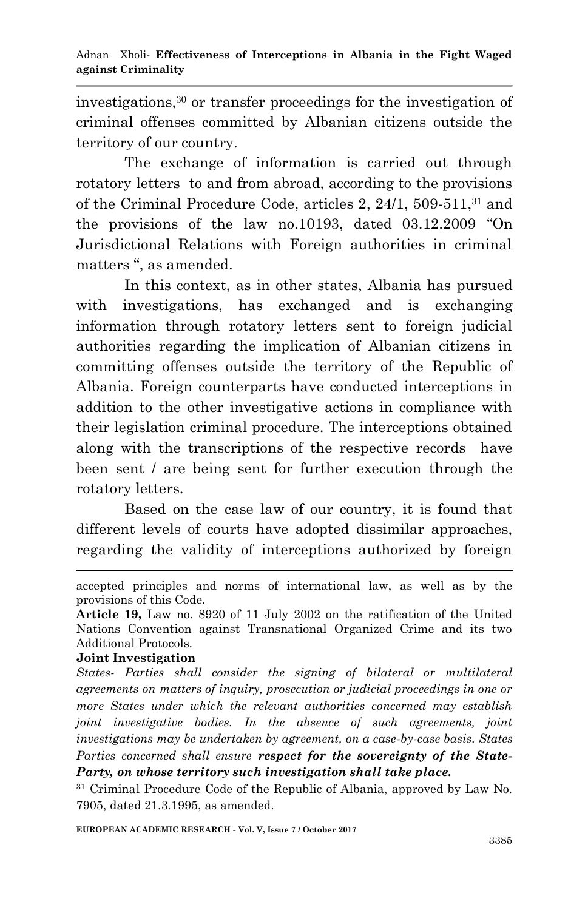investigations, <sup>30</sup> or transfer proceedings for the investigation of criminal offenses committed by Albanian citizens outside the territory of our country.

The exchange of information is carried out through rotatory letters to and from abroad, according to the provisions of the Criminal Procedure Code, articles 2, 24/1, 509-511, <sup>31</sup> and the provisions of the law no.10193, dated 03.12.2009 "On Jurisdictional Relations with Foreign authorities in criminal matters ", as amended.

In this context, as in other states, Albania has pursued with investigations, has exchanged and is exchanging information through rotatory letters sent to foreign judicial authorities regarding the implication of Albanian citizens in committing offenses outside the territory of the Republic of Albania. Foreign counterparts have conducted interceptions in addition to the other investigative actions in compliance with their legislation criminal procedure. The interceptions obtained along with the transcriptions of the respective records have been sent / are being sent for further execution through the rotatory letters.

Based on the case law of our country, it is found that different levels of courts have adopted dissimilar approaches, regarding the validity of interceptions authorized by foreign

#### **Joint Investigation**

1

*States- Parties shall consider the signing of bilateral or multilateral agreements on matters of inquiry, prosecution or judicial proceedings in one or more States under which the relevant authorities concerned may establish joint investigative bodies. In the absence of such agreements, joint investigations may be undertaken by agreement, on a case-by-case basis. States Parties concerned shall ensure respect for the sovereignty of the State-Party, on whose territory such investigation shall take place.*

<sup>31</sup> Criminal Procedure Code of the Republic of Albania, approved by Law No. 7905, dated 21.3.1995, as amended.

accepted principles and norms of international law, as well as by the provisions of this Code.

**Article 19,** Law no. 8920 of 11 July 2002 on the ratification of the United Nations Convention against Transnational Organized Crime and its two Additional Protocols.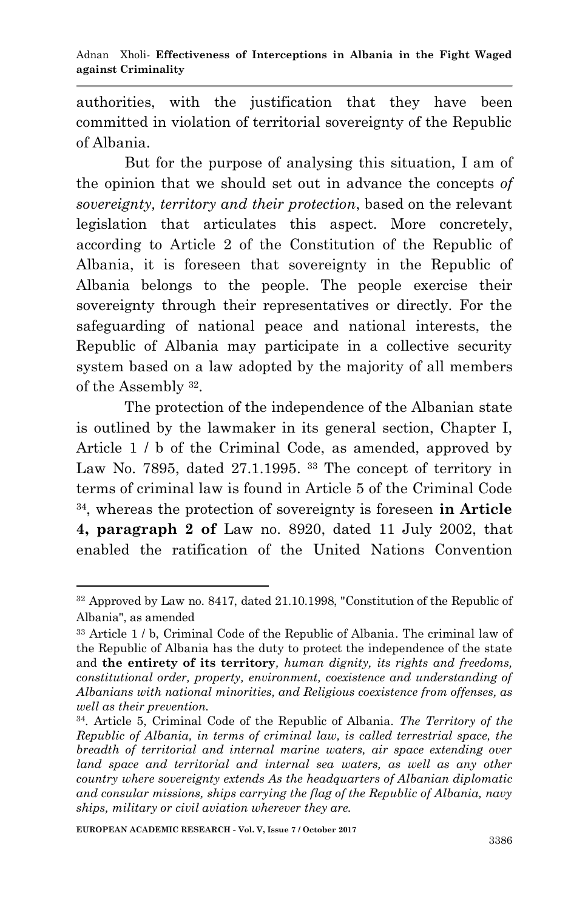authorities, with the justification that they have been committed in violation of territorial sovereignty of the Republic of Albania.

But for the purpose of analysing this situation, I am of the opinion that we should set out in advance the concepts *of sovereignty, territory and their protection*, based on the relevant legislation that articulates this aspect. More concretely, according to Article 2 of the Constitution of the Republic of Albania, it is foreseen that sovereignty in the Republic of Albania belongs to the people. The people exercise their sovereignty through their representatives or directly. For the safeguarding of national peace and national interests, the Republic of Albania may participate in a collective security system based on a law adopted by the majority of all members of the Assembly <sup>32</sup> .

The protection of the independence of the Albanian state is outlined by the lawmaker in its general section, Chapter I, Article 1 / b of the Criminal Code, as amended, approved by Law No. 7895, dated 27.1.1995.<sup>33</sup> The concept of territory in terms of criminal law is found in Article 5 of the Criminal Code 34 , whereas the protection of sovereignty is foreseen **in Article 4, paragraph 2 of** Law no. 8920, dated 11 July 2002, that enabled the ratification of the United Nations Convention

<sup>32</sup> Approved by Law no. 8417, dated 21.10.1998, "Constitution of the Republic of Albania", as amended

<sup>33</sup> Article 1 / b, Criminal Code of the Republic of Albania. The criminal law of the Republic of Albania has the duty to protect the independence of the state and **the entirety of its territory***, human dignity, its rights and freedoms, constitutional order, property, environment, coexistence and understanding of Albanians with national minorities, and Religious coexistence from offenses, as well as their prevention.*

<sup>34</sup> *.* Article 5, Criminal Code of the Republic of Albania. *The Territory of the Republic of Albania, in terms of criminal law, is called terrestrial space, the breadth of territorial and internal marine waters, air space extending over land space and territorial and internal sea waters, as well as any other country where sovereignty extends As the headquarters of Albanian diplomatic and consular missions, ships carrying the flag of the Republic of Albania, navy ships, military or civil aviation wherever they are.*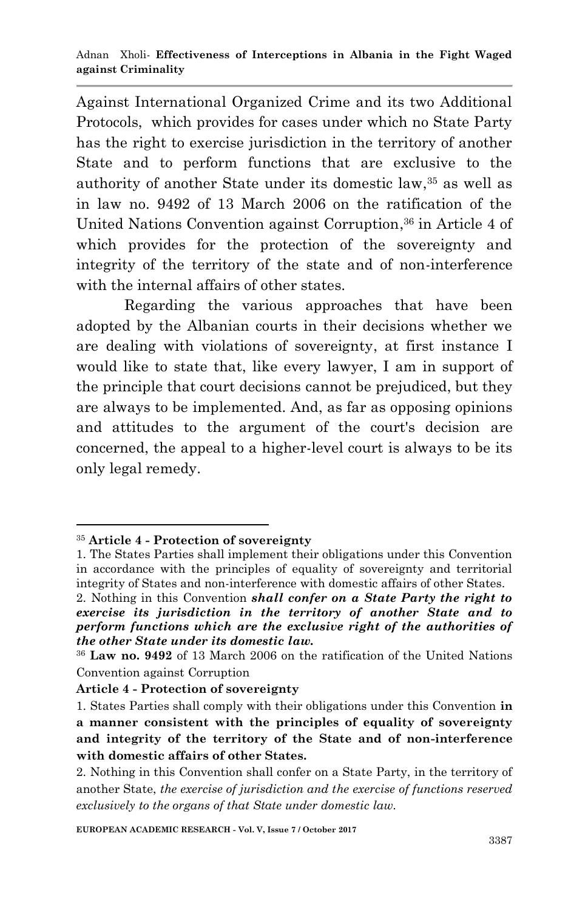Against International Organized Crime and its two Additional Protocols, which provides for cases under which no State Party has the right to exercise jurisdiction in the territory of another State and to perform functions that are exclusive to the authority of another State under its domestic law, <sup>35</sup> as well as in law no. 9492 of 13 March 2006 on the ratification of the United Nations Convention against Corruption, <sup>36</sup> in Article 4 of which provides for the protection of the sovereignty and integrity of the territory of the state and of non-interference with the internal affairs of other states.

Regarding the various approaches that have been adopted by the Albanian courts in their decisions whether we are dealing with violations of sovereignty, at first instance I would like to state that, like every lawyer, I am in support of the principle that court decisions cannot be prejudiced, but they are always to be implemented. And, as far as opposing opinions and attitudes to the argument of the court's decision are concerned, the appeal to a higher-level court is always to be its only legal remedy.

<sup>1</sup> <sup>35</sup> **Article 4 - Protection of sovereignty**

<sup>1.</sup> The States Parties shall implement their obligations under this Convention in accordance with the principles of equality of sovereignty and territorial integrity of States and non-interference with domestic affairs of other States.

<sup>2.</sup> Nothing in this Convention *shall confer on a State Party the right to exercise its jurisdiction in the territory of another State and to perform functions which are the exclusive right of the authorities of the other State under its domestic law.*

<sup>36</sup> **Law no. 9492** of 13 March 2006 on the ratification of the United Nations Convention against Corruption

**Article 4 - Protection of sovereignty**

<sup>1.</sup> States Parties shall comply with their obligations under this Convention **in a manner consistent with the principles of equality of sovereignty and integrity of the territory of the State and of non-interference with domestic affairs of other States.**

<sup>2.</sup> Nothing in this Convention shall confer on a State Party, in the territory of another State, *the exercise of jurisdiction and the exercise of functions reserved exclusively to the organs of that State under domestic law.*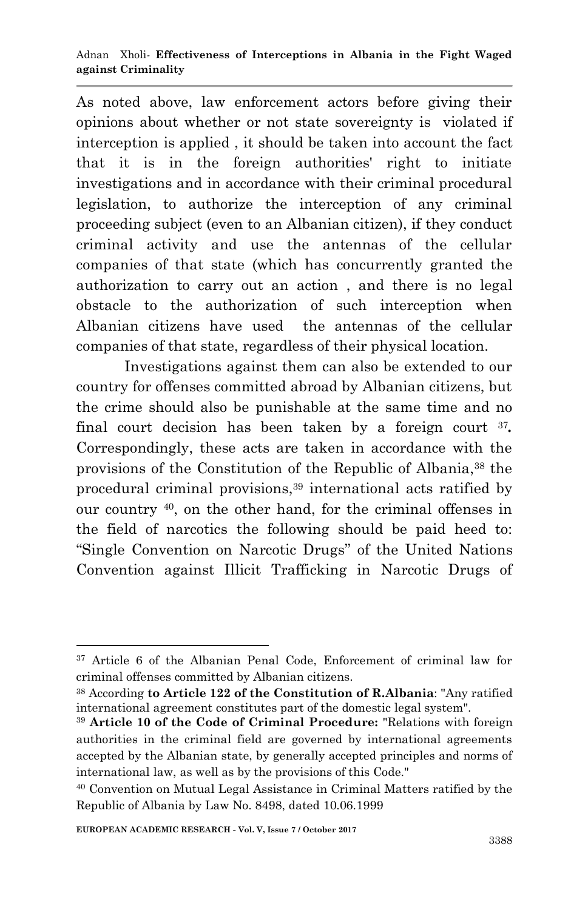As noted above, law enforcement actors before giving their opinions about whether or not state sovereignty is violated if interception is applied , it should be taken into account the fact that it is in the foreign authorities' right to initiate investigations and in accordance with their criminal procedural legislation, to authorize the interception of any criminal proceeding subject (even to an Albanian citizen), if they conduct criminal activity and use the antennas of the cellular companies of that state (which has concurrently granted the authorization to carry out an action , and there is no legal obstacle to the authorization of such interception when Albanian citizens have used the antennas of the cellular companies of that state, regardless of their physical location.

Investigations against them can also be extended to our country for offenses committed abroad by Albanian citizens, but the crime should also be punishable at the same time and no final court decision has been taken by a foreign court <sup>37</sup>. Correspondingly, these acts are taken in accordance with the provisions of the Constitution of the Republic of Albania,<sup>38</sup> the procedural criminal provisions, <sup>39</sup> international acts ratified by our country <sup>40</sup> , on the other hand, for the criminal offenses in the field of narcotics the following should be paid heed to: "Single Convention on Narcotic Drugs" of the United Nations Convention against Illicit Trafficking in Narcotic Drugs of

<sup>37</sup> Article 6 of the Albanian Penal Code, Enforcement of criminal law for criminal offenses committed by Albanian citizens.

<sup>38</sup> According **to Article 122 of the Constitution of R.Albania**: "Any ratified international agreement constitutes part of the domestic legal system".

<sup>39</sup> **Article 10 of the Code of Criminal Procedure:** "Relations with foreign authorities in the criminal field are governed by international agreements accepted by the Albanian state, by generally accepted principles and norms of international law, as well as by the provisions of this Code."

<sup>40</sup> Convention on Mutual Legal Assistance in Criminal Matters ratified by the Republic of Albania by Law No. 8498, dated 10.06.1999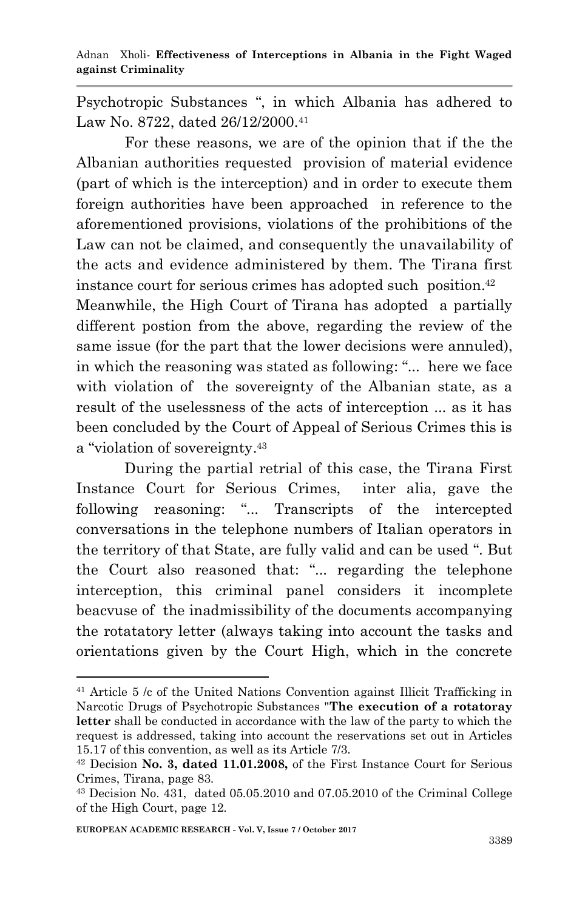Psychotropic Substances ", in which Albania has adhered to Law No. 8722, dated 26/12/2000.<sup>41</sup>

For these reasons, we are of the opinion that if the the Albanian authorities requested provision of material evidence (part of which is the interception) and in order to execute them foreign authorities have been approached in reference to the aforementioned provisions, violations of the prohibitions of the Law can not be claimed, and consequently the unavailability of the acts and evidence administered by them. The Tirana first instance court for serious crimes has adopted such position. 42 Meanwhile, the High Court of Tirana has adopted a partially different postion from the above, regarding the review of the same issue (for the part that the lower decisions were annuled), in which the reasoning was stated as following: "... here we face with violation of the sovereignty of the Albanian state, as a

result of the uselessness of the acts of interception ... as it has been concluded by the Court of Appeal of Serious Crimes this is a "violation of sovereignty. 43

During the partial retrial of this case, the Tirana First Instance Court for Serious Crimes, inter alia, gave the following reasoning: "... Transcripts of the intercepted conversations in the telephone numbers of Italian operators in the territory of that State, are fully valid and can be used ". But the Court also reasoned that: "... regarding the telephone interception, this criminal panel considers it incomplete beacvuse of the inadmissibility of the documents accompanying the rotatatory letter (always taking into account the tasks and orientations given by the Court High, which in the concrete

<sup>41</sup> Article 5 /c of the United Nations Convention against Illicit Trafficking in Narcotic Drugs of Psychotropic Substances "**The execution of a rotatoray letter** shall be conducted in accordance with the law of the party to which the request is addressed, taking into account the reservations set out in Articles 15.17 of this convention, as well as its Article 7/3.

<sup>42</sup> Decision **No. 3, dated 11.01.2008,** of the First Instance Court for Serious Crimes, Tirana, page 83.

<sup>43</sup> Decision No. 431, dated 05.05.2010 and 07.05.2010 of the Criminal College of the High Court, page 12.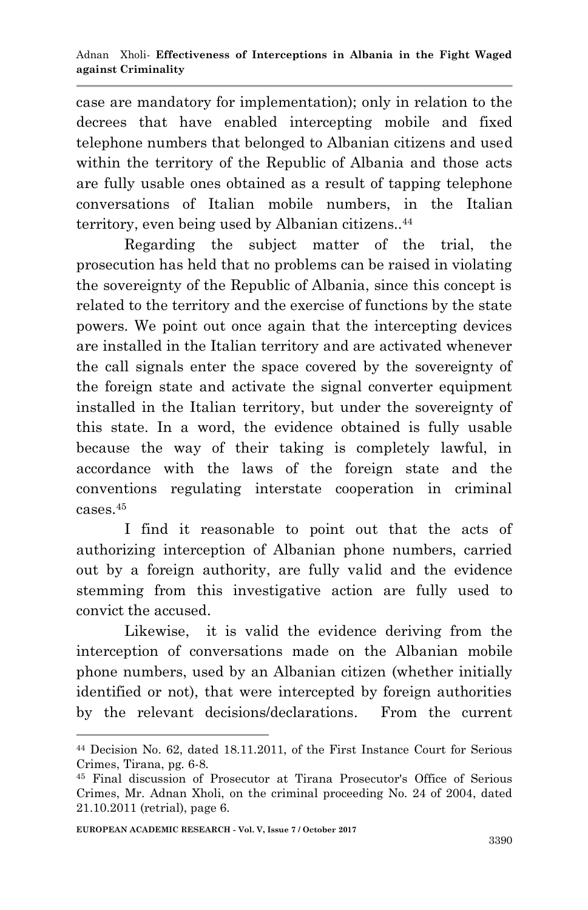case are mandatory for implementation); only in relation to the decrees that have enabled intercepting mobile and fixed telephone numbers that belonged to Albanian citizens and used within the territory of the Republic of Albania and those acts are fully usable ones obtained as a result of tapping telephone conversations of Italian mobile numbers, in the Italian territory, even being used by Albanian citizens.. 44

Regarding the subject matter of the trial, the prosecution has held that no problems can be raised in violating the sovereignty of the Republic of Albania, since this concept is related to the territory and the exercise of functions by the state powers. We point out once again that the intercepting devices are installed in the Italian territory and are activated whenever the call signals enter the space covered by the sovereignty of the foreign state and activate the signal converter equipment installed in the Italian territory, but under the sovereignty of this state. In a word, the evidence obtained is fully usable because the way of their taking is completely lawful, in accordance with the laws of the foreign state and the conventions regulating interstate cooperation in criminal cases. 45

I find it reasonable to point out that the acts of authorizing interception of Albanian phone numbers, carried out by a foreign authority, are fully valid and the evidence stemming from this investigative action are fully used to convict the accused.

Likewise, it is valid the evidence deriving from the interception of conversations made on the Albanian mobile phone numbers, used by an Albanian citizen (whether initially identified or not), that were intercepted by foreign authorities by the relevant decisions/declarations. From the current

<sup>1</sup> <sup>44</sup> Decision No. 62, dated 18.11.2011, of the First Instance Court for Serious Crimes, Tirana, pg. 6-8.

<sup>45</sup> Final discussion of Prosecutor at Tirana Prosecutor's Office of Serious Crimes, Mr. Adnan Xholi, on the criminal proceeding No. 24 of 2004, dated 21.10.2011 (retrial), page 6.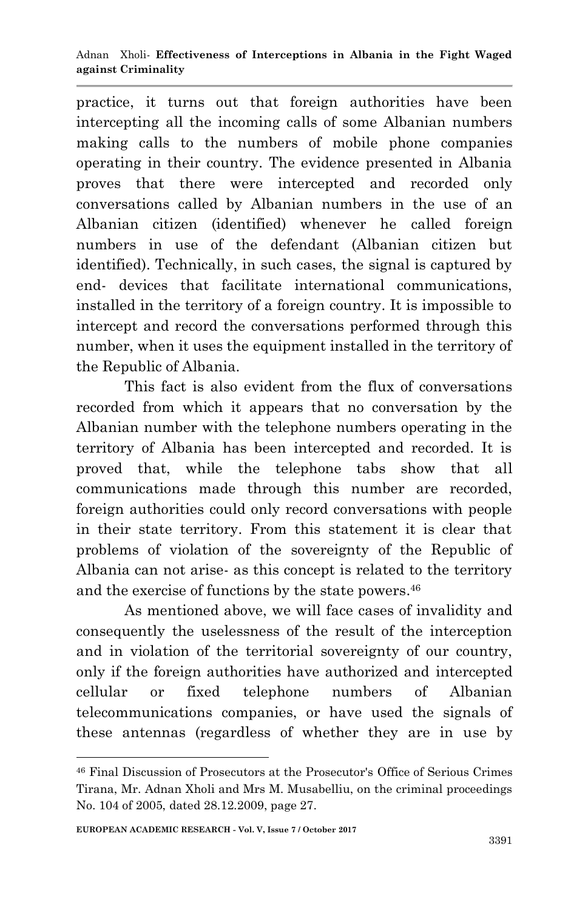practice, it turns out that foreign authorities have been intercepting all the incoming calls of some Albanian numbers making calls to the numbers of mobile phone companies operating in their country. The evidence presented in Albania proves that there were intercepted and recorded only conversations called by Albanian numbers in the use of an Albanian citizen (identified) whenever he called foreign numbers in use of the defendant (Albanian citizen but identified). Technically, in such cases, the signal is captured by end- devices that facilitate international communications, installed in the territory of a foreign country. It is impossible to intercept and record the conversations performed through this number, when it uses the equipment installed in the territory of the Republic of Albania.

This fact is also evident from the flux of conversations recorded from which it appears that no conversation by the Albanian number with the telephone numbers operating in the territory of Albania has been intercepted and recorded. It is proved that, while the telephone tabs show that all communications made through this number are recorded, foreign authorities could only record conversations with people in their state territory. From this statement it is clear that problems of violation of the sovereignty of the Republic of Albania can not arise- as this concept is related to the territory and the exercise of functions by the state powers. 46

As mentioned above, we will face cases of invalidity and consequently the uselessness of the result of the interception and in violation of the territorial sovereignty of our country, only if the foreign authorities have authorized and intercepted cellular or fixed telephone numbers of Albanian telecommunications companies, or have used the signals of these antennas (regardless of whether they are in use by

<sup>46</sup> Final Discussion of Prosecutors at the Prosecutor's Office of Serious Crimes Tirana, Mr. Adnan Xholi and Mrs M. Musabelliu, on the criminal proceedings No. 104 of 2005, dated 28.12.2009, page 27.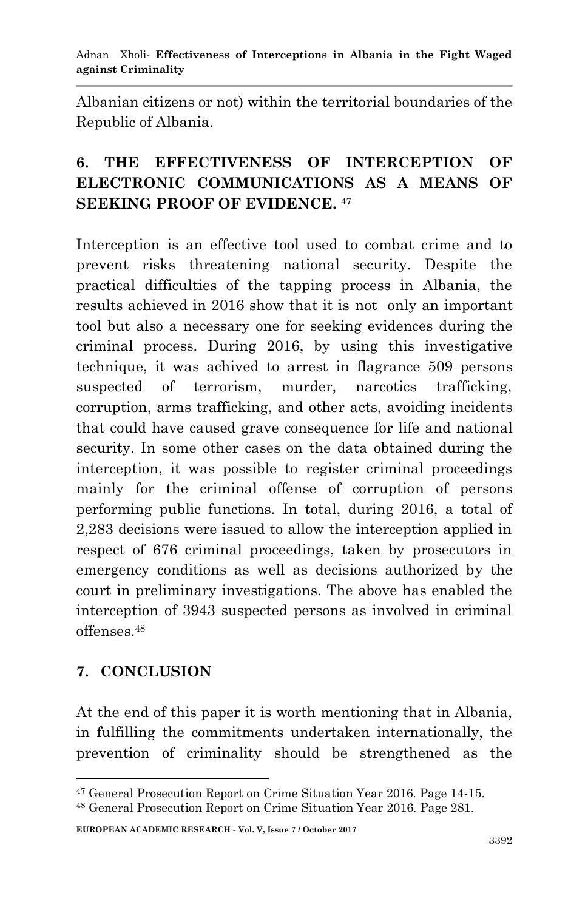Albanian citizens or not) within the territorial boundaries of the Republic of Albania.

# **6. THE EFFECTIVENESS OF INTERCEPTION OF ELECTRONIC COMMUNICATIONS AS A MEANS OF SEEKING PROOF OF EVIDENCE.** <sup>47</sup>

Interception is an effective tool used to combat crime and to prevent risks threatening national security. Despite the practical difficulties of the tapping process in Albania, the results achieved in 2016 show that it is not only an important tool but also a necessary one for seeking evidences during the criminal process. During 2016, by using this investigative technique, it was achived to arrest in flagrance 509 persons suspected of terrorism, murder, narcotics trafficking, corruption, arms trafficking, and other acts, avoiding incidents that could have caused grave consequence for life and national security. In some other cases on the data obtained during the interception, it was possible to register criminal proceedings mainly for the criminal offense of corruption of persons performing public functions. In total, during 2016, a total of 2,283 decisions were issued to allow the interception applied in respect of 676 criminal proceedings, taken by prosecutors in emergency conditions as well as decisions authorized by the court in preliminary investigations. The above has enabled the interception of 3943 suspected persons as involved in criminal offenses. 48

### **7. CONCLUSION**

1

At the end of this paper it is worth mentioning that in Albania, in fulfilling the commitments undertaken internationally, the prevention of criminality should be strengthened as the

<sup>47</sup> General Prosecution Report on Crime Situation Year 2016. Page 14-15.

<sup>48</sup> General Prosecution Report on Crime Situation Year 2016. Page 281.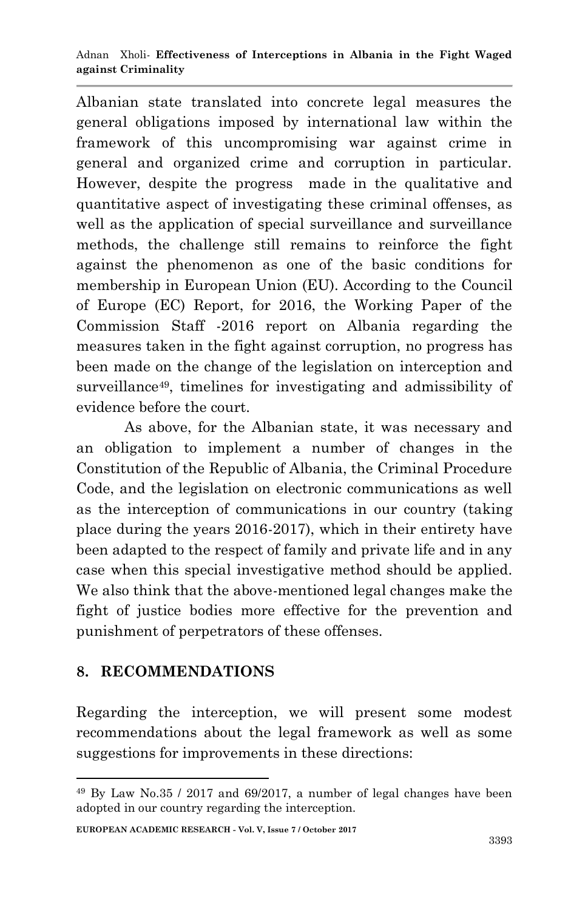Albanian state translated into concrete legal measures the general obligations imposed by international law within the framework of this uncompromising war against crime in general and organized crime and corruption in particular. However, despite the progress made in the qualitative and quantitative aspect of investigating these criminal offenses, as well as the application of special surveillance and surveillance methods, the challenge still remains to reinforce the fight against the phenomenon as one of the basic conditions for membership in European Union (EU). According to the Council of Europe (EC) Report, for 2016, the Working Paper of the Commission Staff -2016 report on Albania regarding the measures taken in the fight against corruption, no progress has been made on the change of the legislation on interception and surveillance<sup>49</sup>, timelines for investigating and admissibility of evidence before the court.

As above, for the Albanian state, it was necessary and an obligation to implement a number of changes in the Constitution of the Republic of Albania, the Criminal Procedure Code, and the legislation on electronic communications as well as the interception of communications in our country (taking place during the years 2016-2017), which in their entirety have been adapted to the respect of family and private life and in any case when this special investigative method should be applied. We also think that the above-mentioned legal changes make the fight of justice bodies more effective for the prevention and punishment of perpetrators of these offenses.

### **8. RECOMMENDATIONS**

1

Regarding the interception, we will present some modest recommendations about the legal framework as well as some suggestions for improvements in these directions:

<sup>49</sup> By Law No.35 / 2017 and 69/2017, a number of legal changes have been adopted in our country regarding the interception.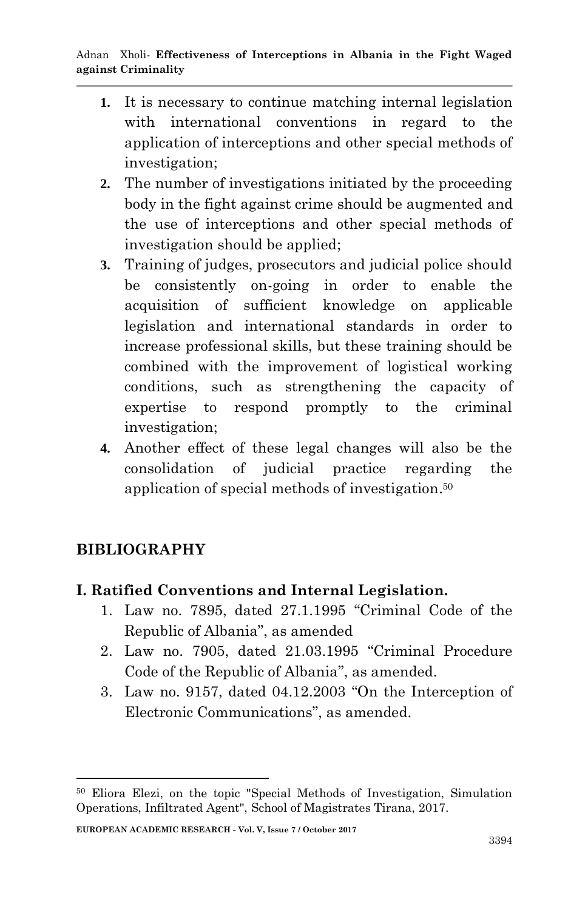- **1.** It is necessary to continue matching internal legislation with international conventions in regard to the application of interceptions and other special methods of investigation;
- **2.** The number of investigations initiated by the proceeding body in the fight against crime should be augmented and the use of interceptions and other special methods of investigation should be applied;
- **3.** Training of judges, prosecutors and judicial police should be consistently on-going in order to enable the acquisition of sufficient knowledge on applicable legislation and international standards in order to increase professional skills, but these training should be combined with the improvement of logistical working conditions, such as strengthening the capacity of expertise to respond promptly to the criminal investigation;
- **4.** Another effect of these legal changes will also be the consolidation of judicial practice regarding the application of special methods of investigation. 50

# **BIBLIOGRAPHY**

1

#### **I. Ratified Conventions and Internal Legislation.**

- 1. Law no. 7895, dated 27.1.1995 "Criminal Code of the Republic of Albania", as amended
- 2. Law no. 7905, dated 21.03.1995 "Criminal Procedure Code of the Republic of Albania", as amended.
- 3. Law no. 9157, dated 04.12.2003 "On the Interception of Electronic Communications", as amended.

<sup>50</sup> Eliora Elezi, on the topic "Special Methods of Investigation, Simulation Operations, Infiltrated Agent", School of Magistrates Tirana, 2017.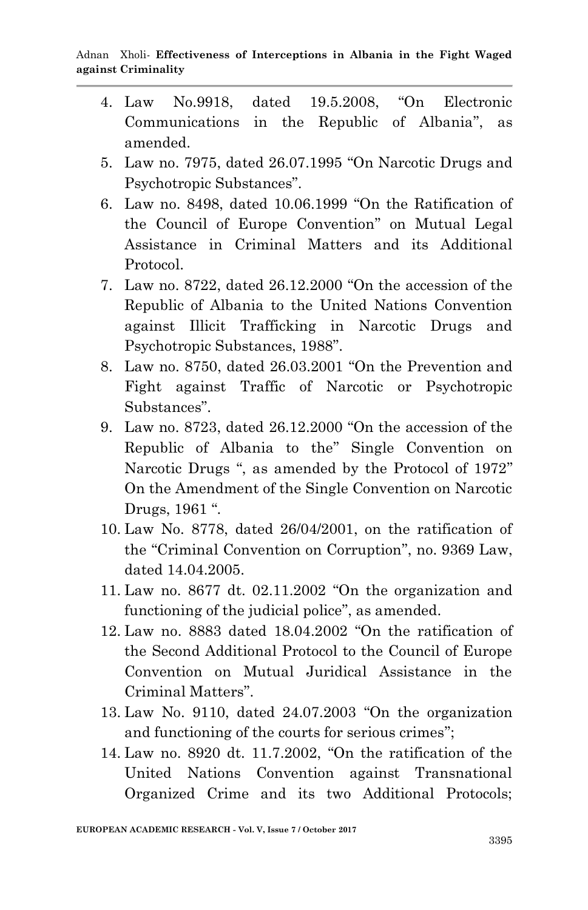- 4. Law No.9918, dated 19.5.2008, "On Electronic Communications in the Republic of Albania", as amended.
- 5. Law no. 7975, dated 26.07.1995 "On Narcotic Drugs and Psychotropic Substances".
- 6. Law no. 8498, dated 10.06.1999 "On the Ratification of the Council of Europe Convention" on Mutual Legal Assistance in Criminal Matters and its Additional Protocol.
- 7. Law no. 8722, dated 26.12.2000 "On the accession of the Republic of Albania to the United Nations Convention against Illicit Trafficking in Narcotic Drugs and Psychotropic Substances, 1988".
- 8. Law no. 8750, dated 26.03.2001 "On the Prevention and Fight against Traffic of Narcotic or Psychotropic Substances".
- 9. Law no. 8723, dated 26.12.2000 "On the accession of the Republic of Albania to the" Single Convention on Narcotic Drugs ", as amended by the Protocol of 1972" On the Amendment of the Single Convention on Narcotic Drugs, 1961 ".
- 10. Law No. 8778, dated 26/04/2001, on the ratification of the "Criminal Convention on Corruption", no. 9369 Law, dated 14.04.2005.
- 11. Law no. 8677 dt. 02.11.2002 "On the organization and functioning of the judicial police", as amended.
- 12. Law no. 8883 dated 18.04.2002 "On the ratification of the Second Additional Protocol to the Council of Europe Convention on Mutual Juridical Assistance in the Criminal Matters".
- 13. Law No. 9110, dated 24.07.2003 "On the organization and functioning of the courts for serious crimes";
- 14. Law no. 8920 dt. 11.7.2002, "On the ratification of the United Nations Convention against Transnational Organized Crime and its two Additional Protocols;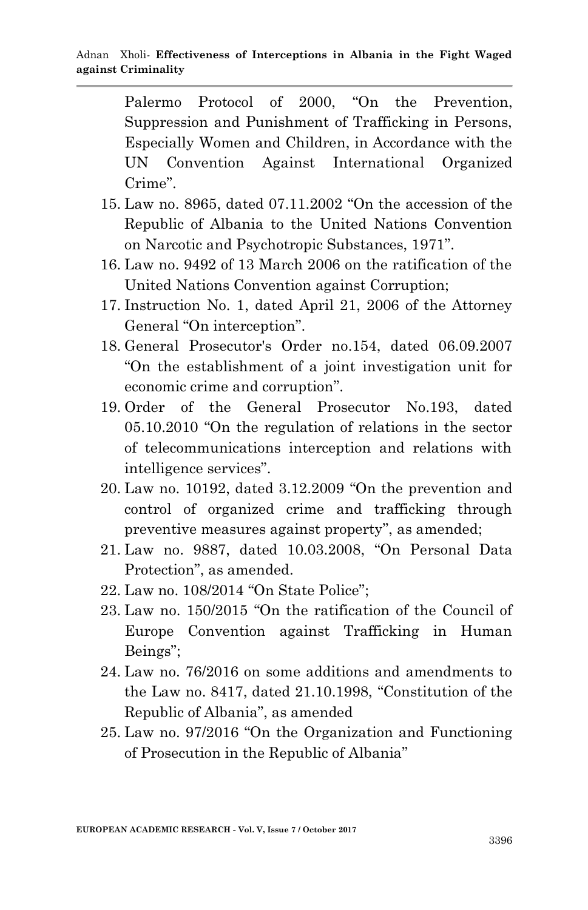Palermo Protocol of 2000, "On the Prevention, Suppression and Punishment of Trafficking in Persons, Especially Women and Children, in Accordance with the UN Convention Against International Organized Crime".

- 15. Law no. 8965, dated 07.11.2002 "On the accession of the Republic of Albania to the United Nations Convention on Narcotic and Psychotropic Substances, 1971".
- 16. Law no. 9492 of 13 March 2006 on the ratification of the United Nations Convention against Corruption;
- 17. Instruction No. 1, dated April 21, 2006 of the Attorney General "On interception".
- 18. General Prosecutor's Order no.154, dated 06.09.2007 "On the establishment of a joint investigation unit for economic crime and corruption".
- 19. Order of the General Prosecutor No.193, dated 05.10.2010 "On the regulation of relations in the sector of telecommunications interception and relations with intelligence services".
- 20. Law no. 10192, dated 3.12.2009 "On the prevention and control of organized crime and trafficking through preventive measures against property", as amended;
- 21. Law no. 9887, dated 10.03.2008, "On Personal Data Protection", as amended.
- 22. Law no. 108/2014 "On State Police";
- 23. Law no. 150/2015 "On the ratification of the Council of Europe Convention against Trafficking in Human Beings";
- 24. Law no. 76/2016 on some additions and amendments to the Law no. 8417, dated 21.10.1998, "Constitution of the Republic of Albania", as amended
- 25. Law no. 97/2016 "On the Organization and Functioning of Prosecution in the Republic of Albania"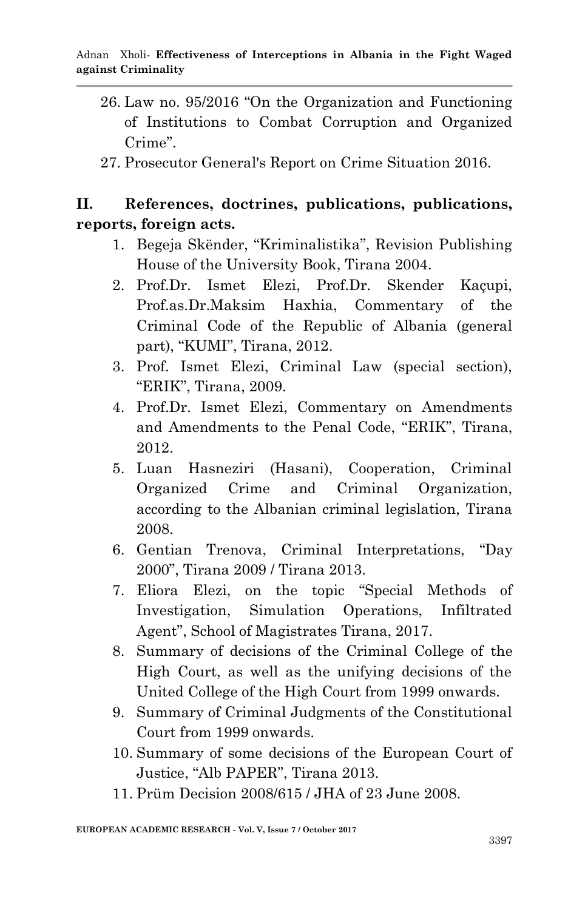- 26. Law no. 95/2016 "On the Organization and Functioning of Institutions to Combat Corruption and Organized  $C$ rime"
- 27. Prosecutor General's Report on Crime Situation 2016.

### **II. References, doctrines, publications, publications, reports, foreign acts.**

- 1. Begeja Skënder, "Kriminalistika", Revision Publishing House of the University Book, Tirana 2004.
- 2. Prof.Dr. Ismet Elezi, Prof.Dr. Skender Kaçupi, Prof.as.Dr.Maksim Haxhia, Commentary of the Criminal Code of the Republic of Albania (general part), "KUMI", Tirana, 2012.
- 3. Prof. Ismet Elezi, Criminal Law (special section), "ERIK", Tirana, 2009.
- 4. Prof.Dr. Ismet Elezi, Commentary on Amendments and Amendments to the Penal Code, "ERIK", Tirana, 2012.
- 5. Luan Hasneziri (Hasani), Cooperation, Criminal Organized Crime and Criminal Organization, according to the Albanian criminal legislation, Tirana 2008.
- 6. Gentian Trenova, Criminal Interpretations, "Day 2000", Tirana 2009 / Tirana 2013.
- 7. Eliora Elezi, on the topic "Special Methods of Investigation, Simulation Operations, Infiltrated Agent", School of Magistrates Tirana, 2017.
- 8. Summary of decisions of the Criminal College of the High Court, as well as the unifying decisions of the United College of the High Court from 1999 onwards.
- 9. Summary of Criminal Judgments of the Constitutional Court from 1999 onwards.
- 10. Summary of some decisions of the European Court of Justice, "Alb PAPER", Tirana 2013.
- 11. Prüm Decision 2008/615 / JHA of 23 June 2008.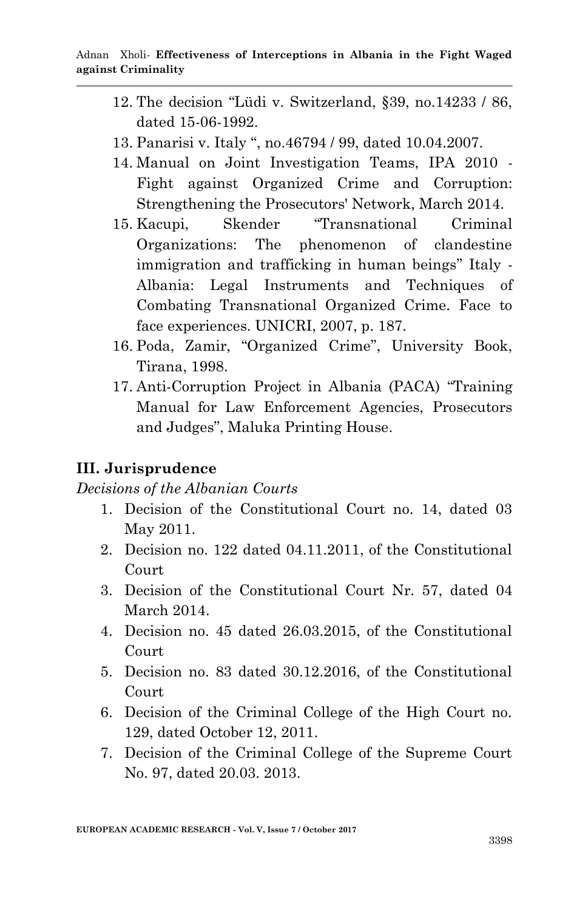- 12. The decision "Lüdi v. Switzerland, §39, no.14233 / 86, dated 15-06-1992.
- 13. Panarisi v. Italy ", no.46794 / 99, dated 10.04.2007.
- 14. Manual on Joint Investigation Teams, IPA 2010 Fight against Organized Crime and Corruption: Strengthening the Prosecutors' Network, March 2014.
- 15. Kacupi, Skender "Transnational Criminal Organizations: The phenomenon of clandestine immigration and trafficking in human beings" Italy - Albania: Legal Instruments and Techniques of Combating Transnational Organized Crime. Face to face experiences. UNICRI, 2007, p. 187.
- 16. Poda, Zamir, "Organized Crime", University Book, Tirana, 1998.
- 17. Anti-Corruption Project in Albania (PACA) "Training Manual for Law Enforcement Agencies, Prosecutors and Judges", Maluka Printing House.

### **III. Jurisprudence**

*Decisions of the Albanian Courts*

- 1. Decision of the Constitutional Court no. 14, dated 03 May 2011.
- 2. Decision no. 122 dated 04.11.2011, of the Constitutional Court
- 3. Decision of the Constitutional Court Nr. 57, dated 04 March 2014.
- 4. Decision no. 45 dated 26.03.2015, of the Constitutional Court
- 5. Decision no. 83 dated 30.12.2016, of the Constitutional Court
- 6. Decision of the Criminal College of the High Court no. 129, dated October 12, 2011.
- 7. Decision of the Criminal College of the Supreme Court No. 97, dated 20.03. 2013.